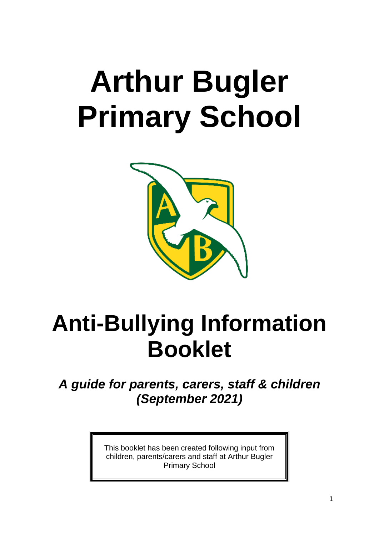# **Arthur Bugler Primary School**



# **Anti-Bullying Information Booklet**

*A guide for parents, carers, staff & children (September 2021)*

> This booklet has been created following input from children, parents/carers and staff at Arthur Bugler Primary School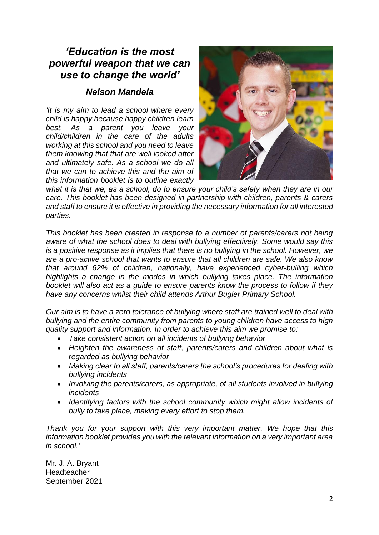# *'Education is the most powerful weapon that we can use to change the world'*

# *Nelson Mandela*

*'It is my aim to lead a school where every child is happy because happy children learn best. As a parent you leave your child/children in the care of the adults working at this school and you need to leave them knowing that that are well looked after and ultimately safe. As a school we do all that we can to achieve this and the aim of this information booklet is to outline exactly* 



*what it is that we, as a school, do to ensure your child's safety when they are in our care. This booklet has been designed in partnership with children, parents & carers and staff to ensure it is effective in providing the necessary information for all interested parties.*

*This booklet has been created in response to a number of parents/carers not being aware of what the school does to deal with bullying effectively. Some would say this is a positive response as it implies that there is no bullying in the school. However, we are a pro-active school that wants to ensure that all children are safe. We also know that around 62% of children, nationally, have experienced cyber-bulling which highlights a change in the modes in which bullying takes place. The information booklet will also act as a guide to ensure parents know the process to follow if they have any concerns whilst their child attends Arthur Bugler Primary School.*

*Our aim is to have a zero tolerance of bullying where staff are trained well to deal with bullying and the entire community from parents to young children have access to high quality support and information. In order to achieve this aim we promise to:*

- *Take consistent action on all incidents of bullying behavior*
- *Heighten the awareness of staff, parents/carers and children about what is regarded as bullying behavior*
- *Making clear to all staff, parents/carers the school's procedures for dealing with bullying incidents*
- *Involving the parents/carers, as appropriate, of all students involved in bullying incidents*
- *Identifying factors with the school community which might allow incidents of bully to take place, making every effort to stop them.*

*Thank you for your support with this very important matter. We hope that this information booklet provides you with the relevant information on a very important area in school.'*

Mr. J. A. Bryant **Headteacher** September 2021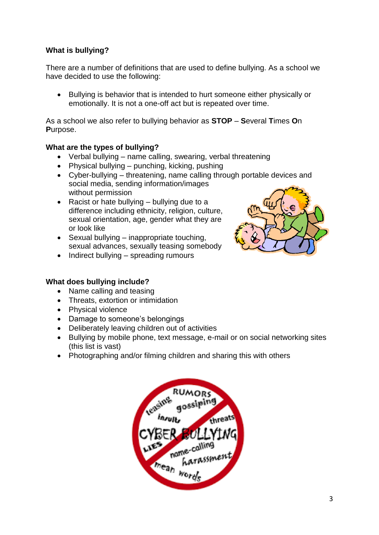# **What is bullying?**

There are a number of definitions that are used to define bullying. As a school we have decided to use the following:

 Bullying is behavior that is intended to hurt someone either physically or emotionally. It is not a one-off act but is repeated over time.

As a school we also refer to bullying behavior as **STOP** – **S**everal **T**imes **O**n **P**urpose.

#### **What are the types of bullying?**

- Verbal bullying name calling, swearing, verbal threatening
- Physical bullying punching, kicking, pushing
- Cyber-bullying threatening, name calling through portable devices and social media, sending information/images without permission
- Racist or hate bullying  $-$  bullying due to a difference including ethnicity, religion, culture, sexual orientation, age, gender what they are or look like
- $\bullet$  Sexual bullying inappropriate touching, sexual advances, sexually teasing somebody
- $\bullet$  Indirect bullying spreading rumours

#### **What does bullying include?**

- Name calling and teasing
- Threats, extortion or intimidation
- Physical violence
- Damage to someone's belongings
- Deliberately leaving children out of activities
- Bullying by mobile phone, text message, e-mail or on social networking sites (this list is vast)
- Photographing and/or filming children and sharing this with others



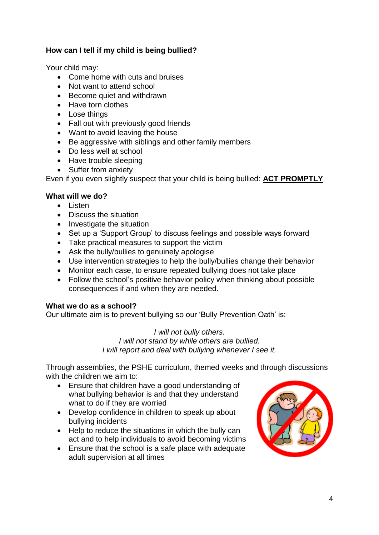## **How can I tell if my child is being bullied?**

Your child may:

- Come home with cuts and bruises
- Not want to attend school
- Become quiet and withdrawn
- Have torn clothes
- Lose things
- Fall out with previously good friends
- Want to avoid leaving the house
- Be aggressive with siblings and other family members
- Do less well at school
- Have trouble sleeping
- Suffer from anxiety

Even if you even slightly suspect that your child is being bullied: **ACT PROMPTLY**

#### **What will we do?**

- **•** Listen
- Discuss the situation
- Investigate the situation
- Set up a 'Support Group' to discuss feelings and possible ways forward
- Take practical measures to support the victim
- Ask the bully/bullies to genuinely apologise
- Use intervention strategies to help the bully/bullies change their behavior
- Monitor each case, to ensure repeated bullying does not take place
- Follow the school's positive behavior policy when thinking about possible consequences if and when they are needed.

#### **What we do as a school?**

Our ultimate aim is to prevent bullying so our 'Bully Prevention Oath' is:

#### *I will not bully others. I will not stand by while others are bullied. I will report and deal with bullying whenever I see it.*

Through assemblies, the PSHE curriculum, themed weeks and through discussions with the children we aim to:

- Ensure that children have a good understanding of what bullying behavior is and that they understand what to do if they are worried
- Develop confidence in children to speak up about bullying incidents
- Help to reduce the situations in which the bully can act and to help individuals to avoid becoming victims
- Ensure that the school is a safe place with adequate adult supervision at all times

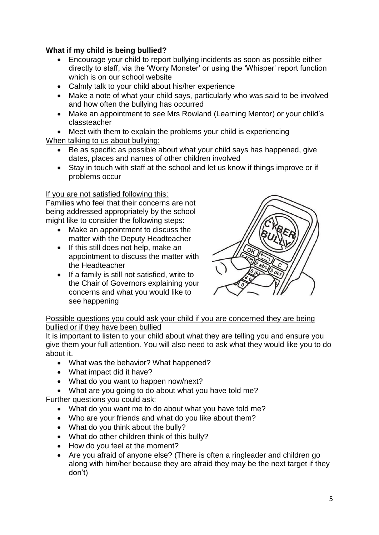## **What if my child is being bullied?**

- Encourage your child to report bullying incidents as soon as possible either directly to staff, via the 'Worry Monster' or using the 'Whisper' report function which is on our school website
- Calmly talk to your child about his/her experience
- Make a note of what your child says, particularly who was said to be involved and how often the bullying has occurred
- Make an appointment to see Mrs Rowland (Learning Mentor) or your child's classteacher
- Meet with them to explain the problems your child is experiencing When talking to us about bullying:
	- Be as specific as possible about what your child says has happened, give dates, places and names of other children involved
	- Stay in touch with staff at the school and let us know if things improve or if problems occur

#### If you are not satisfied following this:

Families who feel that their concerns are not being addressed appropriately by the school might like to consider the following steps:

- Make an appointment to discuss the matter with the Deputy Headteacher
- If this still does not help, make an appointment to discuss the matter with the Headteacher
- If a family is still not satisfied, write to the Chair of Governors explaining your concerns and what you would like to see happening



#### Possible questions you could ask your child if you are concerned they are being bullied or if they have been bullied

It is important to listen to your child about what they are telling you and ensure you give them your full attention. You will also need to ask what they would like you to do about it.

- What was the behavior? What happened?
- What impact did it have?
- What do you want to happen now/next?
- What are you going to do about what you have told me?

Further questions you could ask:

- What do you want me to do about what you have told me?
- Who are your friends and what do you like about them?
- What do you think about the bully?
- What do other children think of this bully?
- How do you feel at the moment?
- Are you afraid of anyone else? (There is often a ringleader and children go along with him/her because they are afraid they may be the next target if they don't)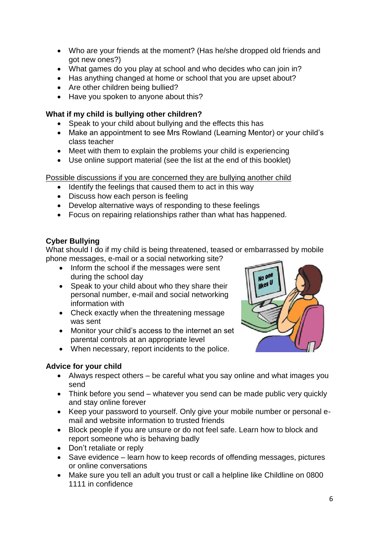- Who are your friends at the moment? (Has he/she dropped old friends and got new ones?)
- What games do you play at school and who decides who can join in?
- Has anything changed at home or school that you are upset about?
- Are other children being bullied?
- Have you spoken to anyone about this?

# **What if my child is bullying other children?**

- Speak to your child about bullying and the effects this has
- Make an appointment to see Mrs Rowland (Learning Mentor) or your child's class teacher
- Meet with them to explain the problems your child is experiencing
- Use online support material (see the list at the end of this booklet)

Possible discussions if you are concerned they are bullying another child

- Identify the feelings that caused them to act in this way
- Discuss how each person is feeling
- Develop alternative ways of responding to these feelings
- Focus on repairing relationships rather than what has happened.

# **Cyber Bullying**

What should I do if my child is being threatened, teased or embarrassed by mobile phone messages, e-mail or a social networking site?

- Inform the school if the messages were sent during the school day
- Speak to your child about who they share their personal number, e-mail and social networking information with
- Check exactly when the threatening message was sent
- Monitor your child's access to the internet an set parental controls at an appropriate level
- When necessary, report incidents to the police.

# **Advice for your child**

- Always respect others be careful what you say online and what images you send
- Think before you send whatever you send can be made public very quickly and stay online forever
- Keep your password to yourself. Only give your mobile number or personal email and website information to trusted friends
- Block people if you are unsure or do not feel safe. Learn how to block and report someone who is behaving badly
- Don't retaliate or reply
- Save evidence learn how to keep records of offending messages, pictures or online conversations
- Make sure you tell an adult you trust or call a helpline like Childline on 0800 1111 in confidence

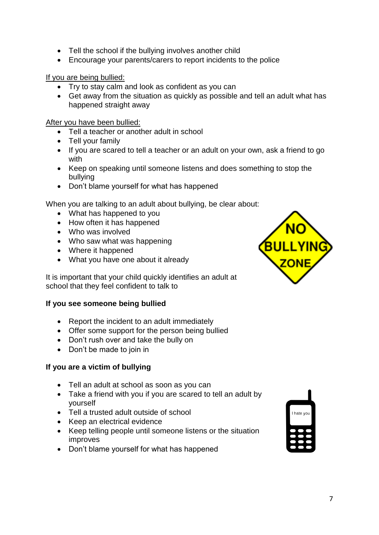- Tell the school if the bullying involves another child
- Encourage your parents/carers to report incidents to the police

If you are being bullied:

- Try to stay calm and look as confident as you can
- Get away from the situation as quickly as possible and tell an adult what has happened straight away

After you have been bullied:

- Tell a teacher or another adult in school
- Tell your family
- If you are scared to tell a teacher or an adult on your own, ask a friend to go with
- Keep on speaking until someone listens and does something to stop the bullying
- Don't blame yourself for what has happened

When you are talking to an adult about bullying, be clear about:

- What has happened to you
- How often it has happened
- Who was involved
- Who saw what was happening
- Where it happened
- What you have one about it already

It is important that your child quickly identifies an adult at school that they feel confident to talk to

#### **If you see someone being bullied**

- Report the incident to an adult immediately
- Offer some support for the person being bullied
- Don't rush over and take the bully on
- Don't be made to join in

#### **If you are a victim of bullying**

- Tell an adult at school as soon as you can
- Take a friend with you if you are scared to tell an adult by yourself
- Tell a trusted adult outside of school
- Keep an electrical evidence
- Keep telling people until someone listens or the situation improves
- Don't blame yourself for what has happened